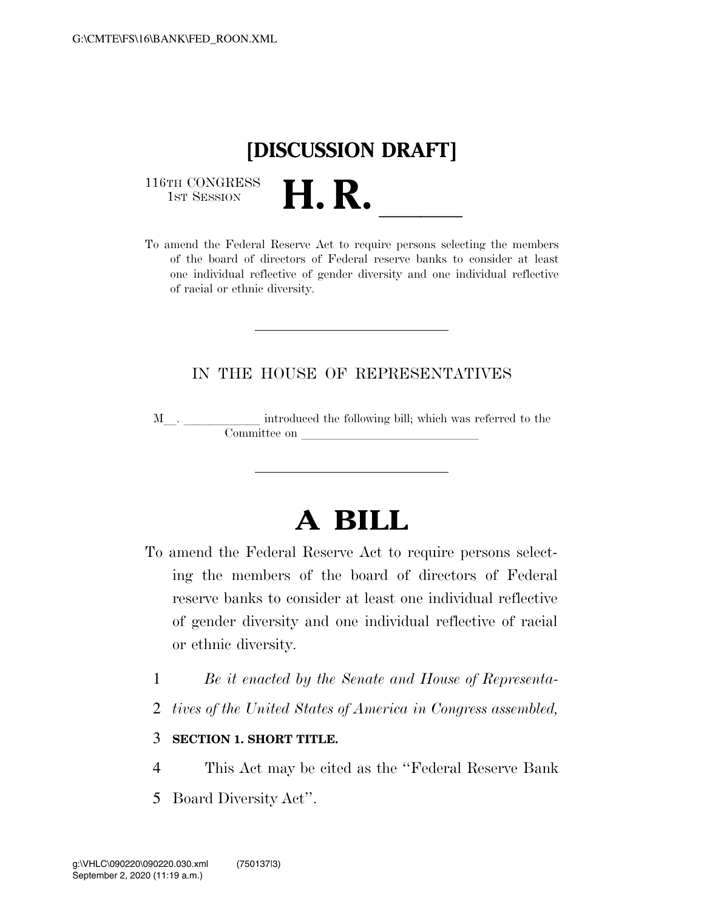

116TH CONGRESS<br>1st Session

116TH CONGRESS<br>
1ST SESSION<br>
To amend the Federal Reserve Act to require persons selecting the members of the board of directors of Federal reserve banks to consider at least one individual reflective of gender diversity and one individual reflective of racial or ethnic diversity.

## IN THE HOUSE OF REPRESENTATIVES

M\_\_. \_\_\_\_\_\_\_\_\_\_\_\_ introduced the following bill; which was referred to the Committee on

## **A BILL**

- To amend the Federal Reserve Act to require persons selecting the members of the board of directors of Federal reserve banks to consider at least one individual reflective of gender diversity and one individual reflective of racial or ethnic diversity.
	- 1 *Be it enacted by the Senate and House of Representa-*
- 2 *tives of the United States of America in Congress assembled,*

## 3 **SECTION 1. SHORT TITLE.**

- 4 This Act may be cited as the ''Federal Reserve Bank
- 5 Board Diversity Act''.